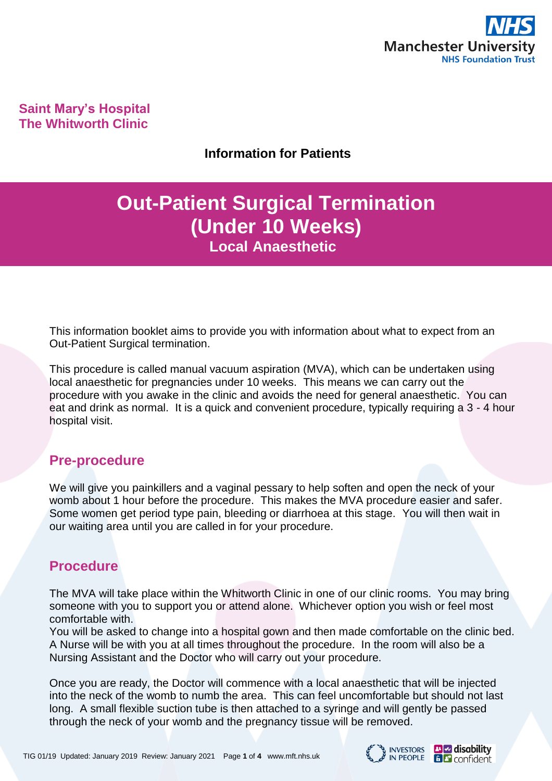

**Saint Mary's Hospital The Whitworth Clinic**

### **Information for Patients**

# **Out-Patient Surgical Termination (Under 10 Weeks) Local Anaesthetic**

This information booklet aims to provide you with information about what to expect from an Out-Patient Surgical termination.

This procedure is called manual vacuum aspiration (MVA), which can be undertaken using local anaesthetic for pregnancies under 10 weeks. This means we can carry out the procedure with you awake in the clinic and avoids the need for general anaesthetic. You can eat and drink as normal. It is a quick and convenient procedure, typically requiring a 3 - 4 hour hospital visit.

# **Pre-procedure**

We will give you painkillers and a vaginal pessary to help soften and open the neck of your womb about 1 hour before the procedure. This makes the MVA procedure easier and safer. Some women get period type pain, bleeding or diarrhoea at this stage. You will then wait in our waiting area until you are called in for your procedure.

# **Procedure**

The MVA will take place within the Whitworth Clinic in one of our clinic rooms. You may bring someone with you to support you or attend alone. Whichever option you wish or feel most comfortable with.

You will be asked to change into a hospital gown and then made comfortable on the clinic bed. A Nurse will be with you at all times throughout the procedure. In the room will also be a Nursing Assistant and the Doctor who will carry out your procedure.

Once you are ready, the Doctor will commence with a local anaesthetic that will be injected into the neck of the womb to numb the area. This can feel uncomfortable but should not last long. A small flexible suction tube is then attached to a syringe and will gently be passed through the neck of your womb and the pregnancy tissue will be removed.

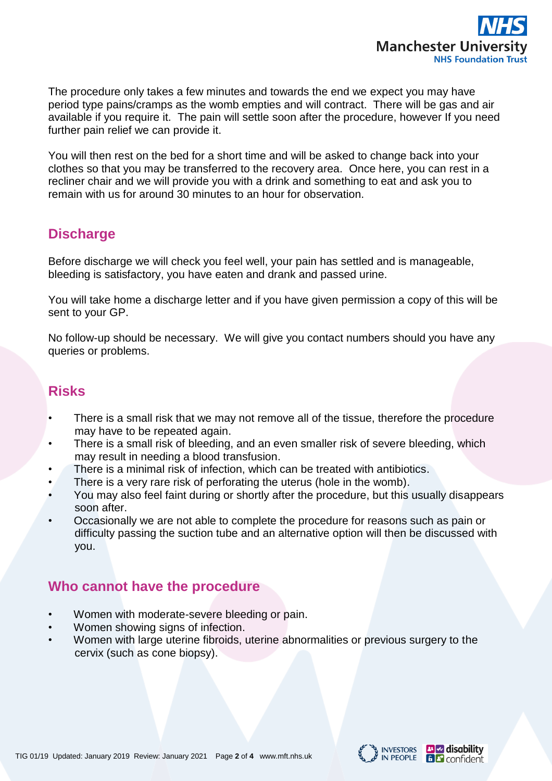

The procedure only takes a few minutes and towards the end we expect you may have period type pains/cramps as the womb empties and will contract. There will be gas and air available if you require it. The pain will settle soon after the procedure, however If you need further pain relief we can provide it.

You will then rest on the bed for a short time and will be asked to change back into your clothes so that you may be transferred to the recovery area. Once here, you can rest in a recliner chair and we will provide you with a drink and something to eat and ask you to remain with us for around 30 minutes to an hour for observation.

# **Discharge**

Before discharge we will check you feel well, your pain has settled and is manageable, bleeding is satisfactory, you have eaten and drank and passed urine.

You will take home a discharge letter and if you have given permission a copy of this will be sent to your GP.

No follow-up should be necessary. We will give you contact numbers should you have any queries or problems.

# **Risks**

- There is a small risk that we may not remove all of the tissue, therefore the procedure may have to be repeated again.
- There is a small risk of bleeding, and an even smaller risk of severe bleeding, which may result in needing a blood transfusion.
- There is a minimal risk of infection, which can be treated with antibiotics.
- There is a very rare risk of perforating the uterus (hole in the womb).
- You may also feel faint during or shortly after the procedure, but this usually disappears soon after.
- Occasionally we are not able to complete the procedure for reasons such as pain or difficulty passing the suction tube and an alternative option will then be discussed with you.

# **Who cannot have the procedure**

- Women with moderate-severe bleeding or pain.
- Women showing signs of infection.
- Women with large uterine fibroids, uterine abnormalities or previous surgery to the cervix (such as cone biopsy).

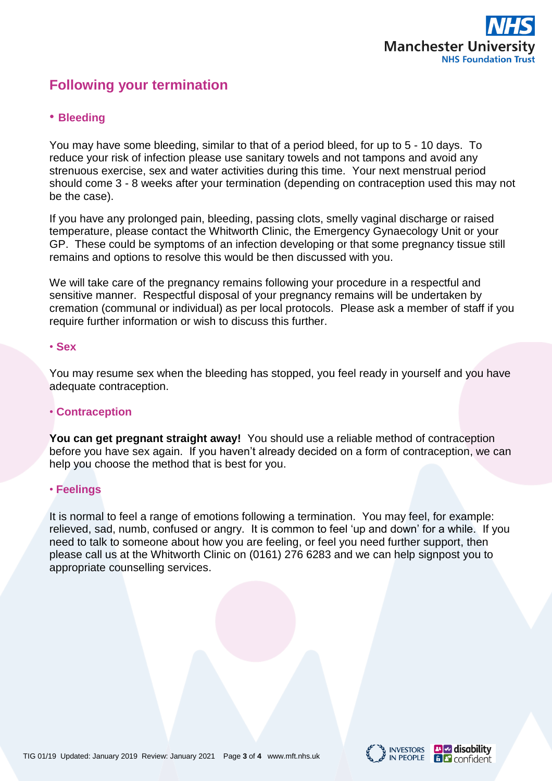

# **Following your termination**

### • **Bleeding**

You may have some bleeding, similar to that of a period bleed, for up to 5 - 10 days. To reduce your risk of infection please use sanitary towels and not tampons and avoid any strenuous exercise, sex and water activities during this time. Your next menstrual period should come 3 - 8 weeks after your termination (depending on contraception used this may not be the case).

If you have any prolonged pain, bleeding, passing clots, smelly vaginal discharge or raised temperature, please contact the Whitworth Clinic, the Emergency Gynaecology Unit or your GP. These could be symptoms of an infection developing or that some pregnancy tissue still remains and options to resolve this would be then discussed with you.

We will take care of the pregnancy remains following your procedure in a respectful and sensitive manner. Respectful disposal of your pregnancy remains will be undertaken by cremation (communal or individual) as per local protocols. Please ask a member of staff if you require further information or wish to discuss this further.

#### • **Sex**

You may resume sex when the bleeding has stopped, you feel ready in yourself and you have adequate contraception.

#### • **Contraception**

**You can get pregnant straight away!** You should use a reliable method of contraception before you have sex again. If you haven't already decided on a form of contraception, we can help you choose the method that is best for you.

#### • **Feelings**

It is normal to feel a range of emotions following a termination. You may feel, for example: relieved, sad, numb, confused or angry. It is common to feel 'up and down' for a while. If you need to talk to someone about how you are feeling, or feel you need further support, then please call us at the Whitworth Clinic on (0161) 276 6283 and we can help signpost you to appropriate counselling services.



**B C** confident